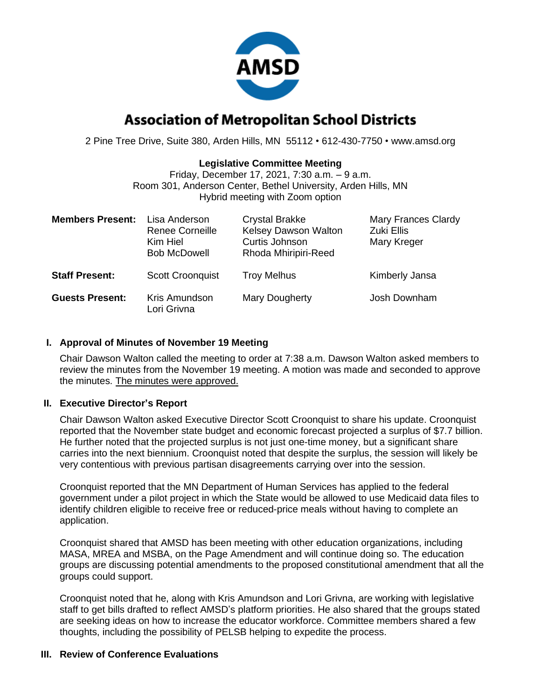

# **Association of Metropolitan School Districts**

2 Pine Tree Drive, Suite 380, Arden Hills, MN 55112 • 612-430-7750 • www.amsd.org

# **Legislative Committee Meeting**

Friday, December 17, 2021, 7:30 a.m. – 9 a.m. Room 301, Anderson Center, Bethel University, Arden Hills, MN Hybrid meeting with Zoom option

| <b>Members Present:</b> | Lisa Anderson<br><b>Renee Corneille</b><br>Kim Hiel<br><b>Bob McDowell</b> | <b>Crystal Brakke</b><br><b>Kelsey Dawson Walton</b><br>Curtis Johnson<br>Rhoda Mhiripiri-Reed | <b>Mary Frances Clardy</b><br>Zuki Ellis<br>Mary Kreger |
|-------------------------|----------------------------------------------------------------------------|------------------------------------------------------------------------------------------------|---------------------------------------------------------|
| <b>Staff Present:</b>   | <b>Scott Croonquist</b>                                                    | <b>Troy Melhus</b>                                                                             | Kimberly Jansa                                          |
| <b>Guests Present:</b>  | Kris Amundson<br>Lori Grivna                                               | Mary Dougherty                                                                                 | Josh Downham                                            |

#### **I. Approval of Minutes of November 19 Meeting**

Chair Dawson Walton called the meeting to order at 7:38 a.m. Dawson Walton asked members to review the minutes from the November 19 meeting. A motion was made and seconded to approve the minutes. The minutes were approved.

#### **II. Executive Director's Report**

Chair Dawson Walton asked Executive Director Scott Croonquist to share his update. Croonquist reported that the November state budget and economic forecast projected a surplus of \$7.7 billion. He further noted that the projected surplus is not just one-time money, but a significant share carries into the next biennium. Croonquist noted that despite the surplus, the session will likely be very contentious with previous partisan disagreements carrying over into the session.

Croonquist reported that the MN Department of Human Services has applied to the federal government under a pilot project in which the State would be allowed to use Medicaid data files to identify children eligible to receive free or reduced-price meals without having to complete an application.

Croonquist shared that AMSD has been meeting with other education organizations, including MASA, MREA and MSBA, on the Page Amendment and will continue doing so. The education groups are discussing potential amendments to the proposed constitutional amendment that all the groups could support.

Croonquist noted that he, along with Kris Amundson and Lori Grivna, are working with legislative staff to get bills drafted to reflect AMSD's platform priorities. He also shared that the groups stated are seeking ideas on how to increase the educator workforce. Committee members shared a few thoughts, including the possibility of PELSB helping to expedite the process.

#### **III. Review of Conference Evaluations**